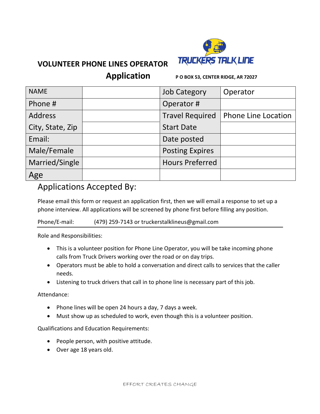

## **VOLUNTEER PHONE LINES OPERATOR**

**Application P O BOX 53, CENTER RIDGE, AR 72027**

| <b>NAME</b>      | <b>Job Category</b>    | Operator                   |
|------------------|------------------------|----------------------------|
| Phone #          | Operator#              |                            |
| <b>Address</b>   | <b>Travel Required</b> | <b>Phone Line Location</b> |
| City, State, Zip | <b>Start Date</b>      |                            |
| Email:           | Date posted            |                            |
| Male/Female      | <b>Posting Expires</b> |                            |
| Married/Single   | <b>Hours Preferred</b> |                            |
| Age              |                        |                            |

## Applications Accepted By:

Please email this form or request an application first, then we will email a response to set up a phone interview. All applications will be screened by phone first before filling any position.

## Phone/E-mail: (479) 259-7143 or truckerstalklineus@gmail.com

Role and Responsibilities:

- This is a volunteer position for Phone Line Operator, you will be take incoming phone calls from Truck Drivers working over the road or on day trips.
- Operators must be able to hold a conversation and direct calls to services that the caller needs.
- Listening to truck drivers that call in to phone line is necessary part of this job.

Attendance:

- Phone lines will be open 24 hours a day, 7 days a week.
- Must show up as scheduled to work, even though this is a volunteer position.

Qualifications and Education Requirements:

- People person, with positive attitude.
- Over age 18 years old.